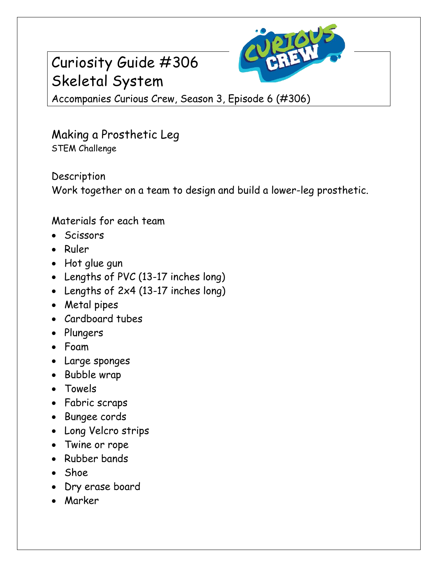



Accompanies Curious Crew, Season 3, Episode 6 (#306)

Making a Prosthetic Leg STEM Challenge

Description Work together on a team to design and build a lower-leg prosthetic.

Materials for each team

- **Scissors**
- Ruler
- Hot glue gun
- Lengths of PVC (13-17 inches long)
- Lengths of 2x4 (13-17 inches long)
- Metal pipes
- Cardboard tubes
- Plungers
- Foam
- Large sponges
- Bubble wrap
- Towels
- Fabric scraps
- Bungee cords
- Long Velcro strips
- Twine or rope
- Rubber bands
- Shoe
- Dry erase board
- Marker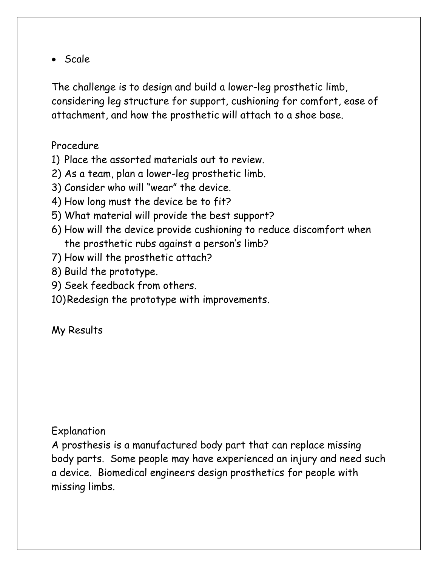• Scale

The challenge is to design and build a lower-leg prosthetic limb, considering leg structure for support, cushioning for comfort, ease of attachment, and how the prosthetic will attach to a shoe base.

## Procedure

- 1) Place the assorted materials out to review.
- 2) As a team, plan a lower-leg prosthetic limb.
- 3) Consider who will "wear" the device.
- 4) How long must the device be to fit?
- 5) What material will provide the best support?
- 6) How will the device provide cushioning to reduce discomfort when the prosthetic rubs against a person's limb?
- 7) How will the prosthetic attach?
- 8) Build the prototype.
- 9) Seek feedback from others.
- 10)Redesign the prototype with improvements.

## My Results

## Explanation

A prosthesis is a manufactured body part that can replace missing body parts. Some people may have experienced an injury and need such a device. Biomedical engineers design prosthetics for people with missing limbs.